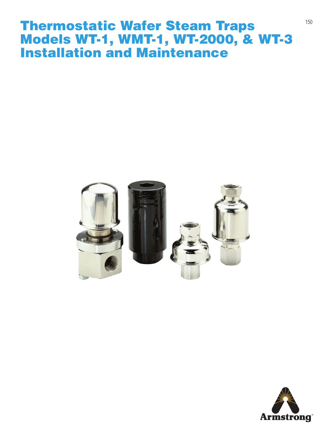### Thermostatic Wafer Steam Traps Models WT-1, WMT-1, WT-2000, & WT-3 Installation and Maintenance



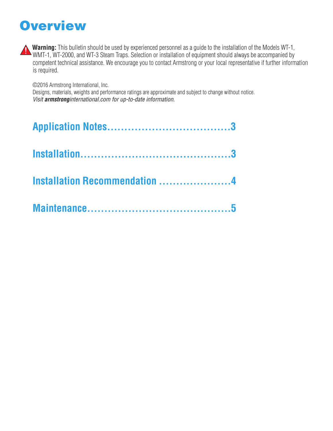### **Overview**



**Warning:** This bulletin should be used by experienced personnel as a guide to the installation of the Models WT-1, Warning. This bunder should be used by experienced personal as a series of the always be accompanied by WMT-1, WT-2000, and WT-3 Steam Traps. Selection or installation of equipment should always be accompanied by competent technical assistance. We encourage you to contact Armstrong or your local representative if further information is required.

©2016 Armstrong International, Inc.

Designs, materials, weights and performance ratings are approximate and subject to change without notice. *Visit armstronginternational.com for up-to-date information.*

| <b>Installation Recommendation 4</b> |  |
|--------------------------------------|--|
|                                      |  |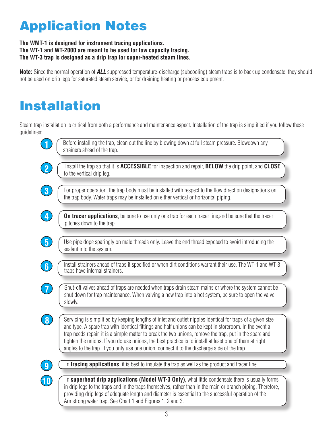## Application Notes

#### **The WMT-1 is designed for instrument tracing applications. The WT-1 and WT-2000 are meant to be used for low capacity tracing. The WT-3 trap is designed as a drip trap for super-heated steam lines.**

**Note:** Since the normal operation of *ALL* suppressed temperature-discharge (subcooling) steam traps is to back up condensate, they should not be used on drip legs for saturated steam service, or for draining heating or process equipment.

# Installation

Steam trap installation is critical from both a performance and maintenance aspect. Installation of the trap is simplified if you follow these guidelines:

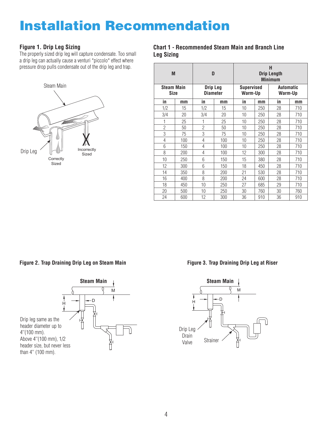### Installation Recommendation

#### **Figure 1. Drip Leg Sizing**

The properly sized drip leg will capture condensate. Too small a drip leg can actually cause a venturi \*piccolo\* effect where pressure drop pulls condensate out of the drip leg and trap.



#### **Chart 1 - Recommended Steam Main and Branch Line Leg Sizing**

| M                                |     | D                           |     | H<br><b>Drip Length</b><br><b>Minimum</b> |     |                      |     |
|----------------------------------|-----|-----------------------------|-----|-------------------------------------------|-----|----------------------|-----|
| <b>Steam Main</b><br><b>Size</b> |     | Drip Leg<br><b>Diameter</b> |     | <b>Supervised</b><br>Warm-Up              |     | Automatic<br>Warm-Up |     |
| in                               | mm  | in                          | mm  | in                                        | mm  | in                   | mm  |
| 1/2                              | 15  | 1/2                         | 15  | 10                                        | 250 | 28                   | 710 |
| 3/4                              | 20  | 3/4                         | 20  | 10                                        | 250 | 28                   | 710 |
| 1                                | 25  | 1                           | 25  | 10                                        | 250 | 28                   | 710 |
| $\overline{2}$                   | 50  | $\overline{2}$              | 50  | 10                                        | 250 | 28                   | 710 |
| 3                                | 75  | 3                           | 75  | 10                                        | 250 | 28                   | 710 |
| 4                                | 100 | 4                           | 100 | 10                                        | 250 | 28                   | 710 |
| 6                                | 150 | 4                           | 100 | 10                                        | 250 | 28                   | 710 |
| 8                                | 200 | 4                           | 100 | 12                                        | 300 | 28                   | 710 |
| 10                               | 250 | 6                           | 150 | 15                                        | 380 | 28                   | 710 |
| 12                               | 300 | 6                           | 150 | 18                                        | 450 | 28                   | 710 |
| 14                               | 350 | 8                           | 200 | 21                                        | 530 | 28                   | 710 |
| 16                               | 400 | 8                           | 200 | 24                                        | 600 | 28                   | 710 |
| 18                               | 450 | 10                          | 250 | 27                                        | 685 | 29                   | 710 |
| 20                               | 500 | 10                          | 250 | 30                                        | 760 | 30                   | 760 |
| 24                               | 600 | 12                          | 300 | 36                                        | 910 | 36                   | 910 |

#### **Figure 2. Trap Draining Drip Leg on Steam Main**



#### **Figure 3. Trap Draining Drip Leg at Riser**

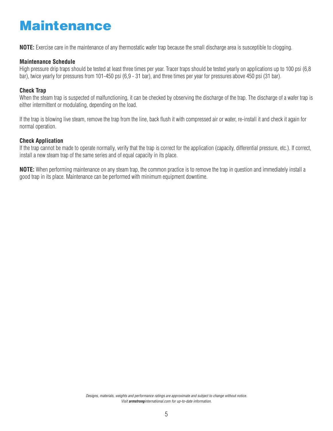## Maintenance

**NOTE:** Exercise care in the maintenance of any thermostatic wafer trap because the small discharge area is susceptible to clogging.

#### **Maintenance Schedule**

High pressure drip traps should be tested at least three times per year. Tracer traps should be tested yearly on applications up to 100 psi (6,8 bar), twice yearly for pressures from 101-450 psi (6,9 - 31 bar), and three times per year for pressures above 450 psi (31 bar).

#### **Check Trap**

When the steam trap is suspected of malfunctioning, it can be checked by observing the discharge of the trap. The discharge of a wafer trap is either intermittent or modulating, depending on the load.

If the trap is blowing live steam, remove the trap from the line, back flush it with compressed air or water, re-install it and check it again for normal operation.

#### **Check Application**

If the trap cannot be made to operate normally, verify that the trap is correct for the application (capacity, differential pressure, etc.). If correct, install a new steam trap of the same series and of equal capacity in its place.

**NOTE:** When performing maintenance on any steam trap, the common practice is to remove the trap in question and immediately install a good trap in its place. Maintenance can be performed with minimum equipment downtime.